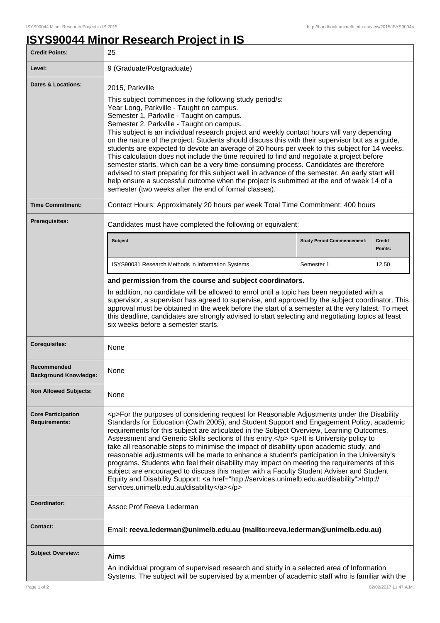ı

## **ISYS90044 Minor Research Project in IS**

| <b>Credit Points:</b>                             | 25                                                                                                                                                                                                                                                                                                                                                                                                                                                                                                                                                                                                                                                                                                                                                                                                                                                                                                                                                                    |                                   |                          |
|---------------------------------------------------|-----------------------------------------------------------------------------------------------------------------------------------------------------------------------------------------------------------------------------------------------------------------------------------------------------------------------------------------------------------------------------------------------------------------------------------------------------------------------------------------------------------------------------------------------------------------------------------------------------------------------------------------------------------------------------------------------------------------------------------------------------------------------------------------------------------------------------------------------------------------------------------------------------------------------------------------------------------------------|-----------------------------------|--------------------------|
| Level:                                            | 9 (Graduate/Postgraduate)                                                                                                                                                                                                                                                                                                                                                                                                                                                                                                                                                                                                                                                                                                                                                                                                                                                                                                                                             |                                   |                          |
| <b>Dates &amp; Locations:</b>                     | 2015, Parkville<br>This subject commences in the following study period/s:<br>Year Long, Parkville - Taught on campus.<br>Semester 1, Parkville - Taught on campus.<br>Semester 2, Parkville - Taught on campus.<br>This subject is an individual research project and weekly contact hours will vary depending<br>on the nature of the project. Students should discuss this with their supervisor but as a guide,<br>students are expected to devote an average of 20 hours per week to this subject for 14 weeks.<br>This calculation does not include the time required to find and negotiate a project before<br>semester starts, which can be a very time-consuming process. Candidates are therefore<br>advised to start preparing for this subject well in advance of the semester. An early start will<br>help ensure a successful outcome when the project is submitted at the end of week 14 of a<br>semester (two weeks after the end of formal classes). |                                   |                          |
| <b>Time Commitment:</b>                           | Contact Hours: Approximately 20 hours per week Total Time Commitment: 400 hours                                                                                                                                                                                                                                                                                                                                                                                                                                                                                                                                                                                                                                                                                                                                                                                                                                                                                       |                                   |                          |
| <b>Prerequisites:</b>                             | Candidates must have completed the following or equivalent:                                                                                                                                                                                                                                                                                                                                                                                                                                                                                                                                                                                                                                                                                                                                                                                                                                                                                                           |                                   |                          |
|                                                   | <b>Subject</b>                                                                                                                                                                                                                                                                                                                                                                                                                                                                                                                                                                                                                                                                                                                                                                                                                                                                                                                                                        | <b>Study Period Commencement:</b> | <b>Credit</b><br>Points: |
|                                                   | ISYS90031 Research Methods in Information Systems                                                                                                                                                                                                                                                                                                                                                                                                                                                                                                                                                                                                                                                                                                                                                                                                                                                                                                                     | Semester 1                        | 12.50                    |
|                                                   | and permission from the course and subject coordinators.                                                                                                                                                                                                                                                                                                                                                                                                                                                                                                                                                                                                                                                                                                                                                                                                                                                                                                              |                                   |                          |
|                                                   | In addition, no candidate will be allowed to enrol until a topic has been negotiated with a<br>supervisor, a supervisor has agreed to supervise, and approved by the subject coordinator. This<br>approval must be obtained in the week before the start of a semester at the very latest. To meet<br>this deadline, candidates are strongly advised to start selecting and negotiating topics at least<br>six weeks before a semester starts.                                                                                                                                                                                                                                                                                                                                                                                                                                                                                                                        |                                   |                          |
| <b>Corequisites:</b>                              | None                                                                                                                                                                                                                                                                                                                                                                                                                                                                                                                                                                                                                                                                                                                                                                                                                                                                                                                                                                  |                                   |                          |
| Recommended<br><b>Background Knowledge:</b>       | None                                                                                                                                                                                                                                                                                                                                                                                                                                                                                                                                                                                                                                                                                                                                                                                                                                                                                                                                                                  |                                   |                          |
| <b>Non Allowed Subjects:</b>                      | None                                                                                                                                                                                                                                                                                                                                                                                                                                                                                                                                                                                                                                                                                                                                                                                                                                                                                                                                                                  |                                   |                          |
| <b>Core Participation</b><br><b>Requirements:</b> | <p>For the purposes of considering request for Reasonable Adjustments under the Disability<br/>Standards for Education (Cwth 2005), and Student Support and Engagement Policy, academic<br/>requirements for this subject are articulated in the Subject Overview, Learning Outcomes,<br/>Assessment and Generic Skills sections of this entry.</p> <p>lt is University policy to<br/>take all reasonable steps to minimise the impact of disability upon academic study, and<br/>reasonable adjustments will be made to enhance a student's participation in the University's<br/>programs. Students who feel their disability may impact on meeting the requirements of this<br/>subject are encouraged to discuss this matter with a Faculty Student Adviser and Student<br/>Equity and Disability Support: &lt; a href="http://services.unimelb.edu.au/disability"&gt;http://<br/>services.unimelb.edu.au/disability</p>                                          |                                   |                          |
| Coordinator:                                      | Assoc Prof Reeva Lederman                                                                                                                                                                                                                                                                                                                                                                                                                                                                                                                                                                                                                                                                                                                                                                                                                                                                                                                                             |                                   |                          |
| <b>Contact:</b>                                   | Email: reeva.lederman@unimelb.edu.au (mailto:reeva.lederman@unimelb.edu.au)                                                                                                                                                                                                                                                                                                                                                                                                                                                                                                                                                                                                                                                                                                                                                                                                                                                                                           |                                   |                          |
| <b>Subject Overview:</b>                          | <b>Aims</b>                                                                                                                                                                                                                                                                                                                                                                                                                                                                                                                                                                                                                                                                                                                                                                                                                                                                                                                                                           |                                   |                          |
|                                                   | An individual program of supervised research and study in a selected area of Information<br>Systems. The subject will be supervised by a member of academic staff who is familiar with the                                                                                                                                                                                                                                                                                                                                                                                                                                                                                                                                                                                                                                                                                                                                                                            |                                   |                          |